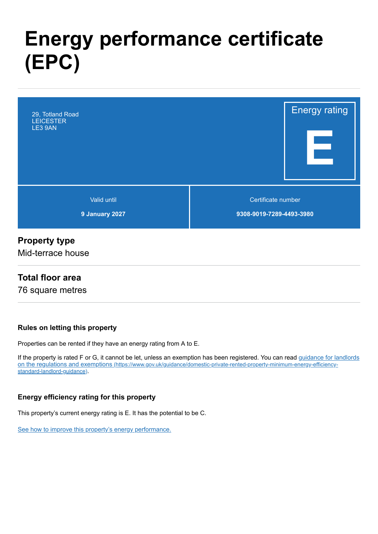# **Energy performance certificate (EPC)**



### **Property type**

Mid-terrace house

### **Total floor area**

76 square metres

#### **Rules on letting this property**

Properties can be rented if they have an energy rating from A to E.

[If the property is rated F or G, it cannot be let, unless an exemption has been registered. You can read guidance for landlords](https://www.gov.uk/guidance/domestic-private-rented-property-minimum-energy-efficiency-standard-landlord-guidance) on the regulations and exemptions (https://www.gov.uk/guidance/domestic-private-rented-property-minimum-energy-efficiencystandard-landlord-guidance).

#### **Energy efficiency rating for this property**

This property's current energy rating is E. It has the potential to be C.

[See how to improve this property's energy performance.](#page-3-0)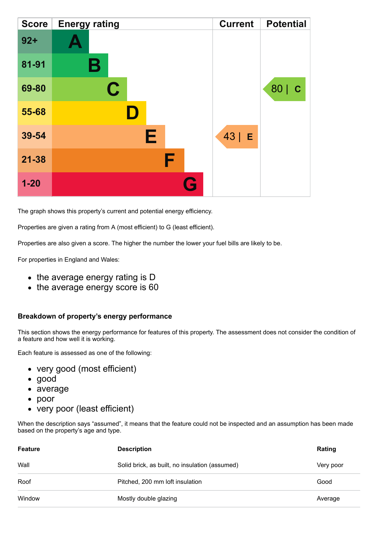| <b>Score</b> | <b>Energy rating</b> | <b>Current</b> | <b>Potential</b>   |
|--------------|----------------------|----------------|--------------------|
| $92 +$       |                      |                |                    |
| 81-91        | Β                    |                |                    |
| 69-80        | $\mathbf C$          |                | 80 <br>$\mathbf C$ |
| 55-68        |                      |                |                    |
| 39-54        | Е                    | $43$   E       |                    |
| $21 - 38$    | F                    |                |                    |
| $1 - 20$     |                      | Q              |                    |

The graph shows this property's current and potential energy efficiency.

Properties are given a rating from A (most efficient) to G (least efficient).

Properties are also given a score. The higher the number the lower your fuel bills are likely to be.

For properties in England and Wales:

- the average energy rating is D
- the average energy score is 60

#### **Breakdown of property's energy performance**

This section shows the energy performance for features of this property. The assessment does not consider the condition of a feature and how well it is working.

Each feature is assessed as one of the following:

- very good (most efficient)
- good
- average
- poor
- very poor (least efficient)

When the description says "assumed", it means that the feature could not be inspected and an assumption has been made based on the property's age and type.

| Feature | <b>Description</b>                             | Rating    |
|---------|------------------------------------------------|-----------|
| Wall    | Solid brick, as built, no insulation (assumed) | Very poor |
| Roof    | Pitched, 200 mm loft insulation                | Good      |
| Window  | Mostly double glazing                          | Average   |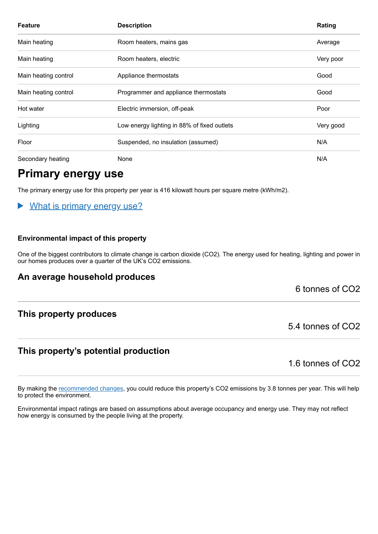| <b>Feature</b>       | <b>Description</b>                          | Rating    |
|----------------------|---------------------------------------------|-----------|
| Main heating         | Room heaters, mains gas                     | Average   |
| Main heating         | Room heaters, electric                      | Very poor |
| Main heating control | Appliance thermostats                       | Good      |
| Main heating control | Programmer and appliance thermostats        | Good      |
| Hot water            | Electric immersion, off-peak                | Poor      |
| Lighting             | Low energy lighting in 88% of fixed outlets | Very good |
| Floor                | Suspended, no insulation (assumed)          | N/A       |
| Secondary heating    | None                                        | N/A       |

### **Primary energy use**

The primary energy use for this property per year is 416 kilowatt hours per square metre (kWh/m2).

#### What is primary energy use?  $\blacktriangleright$

#### **Environmental impact of this property**

One of the biggest contributors to climate change is carbon dioxide (CO2). The energy used for heating, lighting and power in our homes produces over a quarter of the UK's CO2 emissions.

### **An average household produces**

6 tonnes of CO2

### **This property produces**

### **This property's potential production**

1.6 tonnes of CO2

5.4 tonnes of CO2

By making the [recommended changes,](#page-3-0) you could reduce this property's CO2 emissions by 3.8 tonnes per year. This will help to protect the environment.

Environmental impact ratings are based on assumptions about average occupancy and energy use. They may not reflect how energy is consumed by the people living at the property.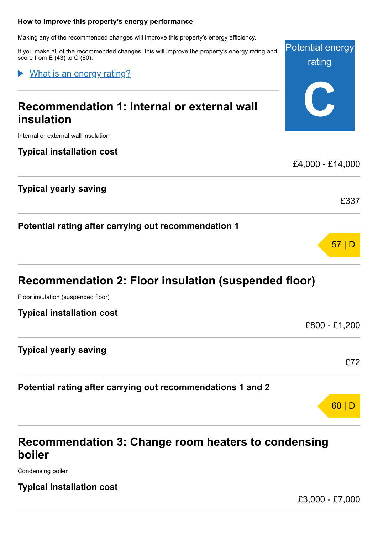#### <span id="page-3-0"></span>**How to improve this property's energy performance**

Making any of the recommended changes will improve this property's energy efficiency.

If you make all of the recommended changes, this will improve the property's energy rating and score from  $E(43)$  to C  $(80)$ .

What is an energy rating?

## **Recommendation 1: Internal or external wall insulation**

Internal or external wall insulation

### **Typical installation cost**

### **Typical yearly saving**

**Potential rating after carrying out recommendation 1**

### **Recommendation 2: Floor insulation (suspended floor)**

Floor insulation (suspended floor)

| <b>Typical installation cost</b> |
|----------------------------------|
|----------------------------------|

### **Typical yearly saving**

**Potential rating after carrying out recommendations 1 and 2**

### **Recommendation 3: Change room heaters to condensing boiler**

Condensing boiler

### **Typical installation cost**

£3,000 - £7,000

£72

60 | D



Potential energy

rating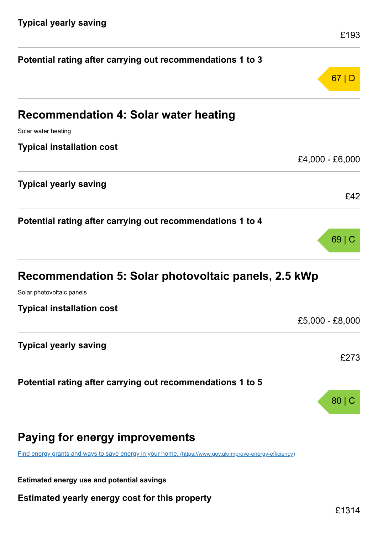| Potential rating after carrying out recommendations 1 to 3                        |                 |
|-----------------------------------------------------------------------------------|-----------------|
|                                                                                   | 67 D            |
| <b>Recommendation 4: Solar water heating</b>                                      |                 |
| Solar water heating                                                               |                 |
| <b>Typical installation cost</b>                                                  |                 |
|                                                                                   | £4,000 - £6,000 |
| <b>Typical yearly saving</b>                                                      |                 |
|                                                                                   | £42             |
| Potential rating after carrying out recommendations 1 to 4                        |                 |
|                                                                                   | $69 \mid C$     |
| Recommendation 5: Solar photovoltaic panels, 2.5 kWp<br>Solar photovoltaic panels |                 |
|                                                                                   |                 |
| <b>Typical installation cost</b>                                                  | £5,000 - £8,000 |
| <b>Typical yearly saving</b>                                                      |                 |
|                                                                                   | £273            |
| Potential rating after carrying out recommendations 1 to 5                        |                 |
|                                                                                   | $80 $ (         |
|                                                                                   |                 |

### **Paying for energy improvements**

[Find energy grants and ways to save energy in your home.](https://www.gov.uk/improve-energy-efficiency) (https://www.gov.uk/improve-energy-efficiency)

**Estimated energy use and potential savings**

**Estimated yearly energy cost for this property**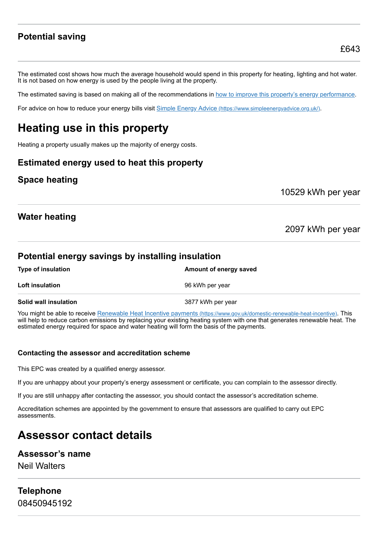### **Potential saving**

The estimated cost shows how much the average household would spend in this property for heating, lighting and hot water. It is not based on how energy is used by the people living at the property.

The estimated saving is based on making all of the recommendations in [how to improve this property's energy performance.](#page-3-0)

For advice on how to reduce your energy bills visit Simple Energy Advice [\(https://www.simpleenergyadvice.org.uk/\)](https://www.simpleenergyadvice.org.uk/).

### **Heating use in this property**

Heating a property usually makes up the majority of energy costs.

### **Estimated energy used to heat this property**

### **Space heating**

10529 kWh per year

### **Water heating**

2097 kWh per year

### **Potential energy savings by installing insulation**

| <b>Type of insulation</b> | Amount of energy saved |
|---------------------------|------------------------|
| Loft insulation           | 96 kWh per year        |
| Solid wall insulation     | 3877 kWh per year      |

You might be able to receive Renewable Heat Incentive payments [\(https://www.gov.uk/domestic-renewable-heat-incentive\)](https://www.gov.uk/domestic-renewable-heat-incentive). This will help to reduce carbon emissions by replacing your existing heating system with one that generates renewable heat. The estimated energy required for space and water heating will form the basis of the payments.

#### **Contacting the assessor and accreditation scheme**

This EPC was created by a qualified energy assessor.

If you are unhappy about your property's energy assessment or certificate, you can complain to the assessor directly.

If you are still unhappy after contacting the assessor, you should contact the assessor's accreditation scheme.

Accreditation schemes are appointed by the government to ensure that assessors are qualified to carry out EPC assessments.

### **Assessor contact details**

#### **Assessor's name**

Neil Walters

### **Telephone** 08450945192